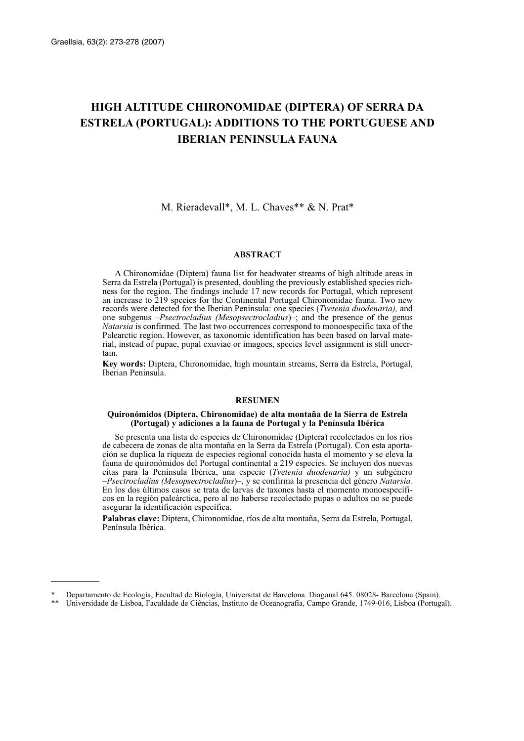# **HIGH ALTITUDE CHIRONOMIDAE (DIPTERA) OF SERRA DA ESTRELA (PORTUGAL): ADDITIONS TO THE PORTUGUESE AND IBERIAN PENINSULA FAUNA**

M. Rieradevall\*, M. L. Chaves\*\* & N. Prat\*

## **ABSTRACT**

A Chironomidae (Diptera) fauna list for headwater streams of high altitude areas in Serra da Estrela (Portugal) is presented, doubling the previously established species richness for the region. The findings include 17 new records for Portugal, which represent an increase to 219 species for the Continental Portugal Chironomidae fauna. Two new records were detected for the Iberian Peninsula: one species (*Tvetenia duodenaria),* and one subgenus –*Psectrocladius (Mesopsectrocladius*)–; and the presence of the genus *Natarsia* is confirmed*.* The last two occurrences correspond to monoespecific taxa of the Palearctic region. However, as taxonomic identification has been based on larval material, instead of pupae, pupal exuviae or imagoes, species level assignment is still uncertain.

**Key words:** Diptera, Chironomidae, high mountain streams, Serra da Estrela, Portugal, Iberian Peninsula.

### **RESUMEN**

#### **Quironómidos (Diptera, Chironomidae) de alta montaña de la Sierra de Estrela (Portugal) y adiciones a la fauna de Portugal y la Península Ibérica**

Se presenta una lista de especies de Chironomidae (Diptera) recolectados en los ríos de cabecera de zonas de alta montaña en la Serra da Estrela (Portugal). Con esta aportación se duplica la riqueza de especies regional conocida hasta el momento y se eleva la fauna de quironómidos del Portugal continental a 219 especies. Se incluyen dos nuevas citas para la Península Ibérica, una especie (*Tvetenia duodenaria)* y un subgénero –*Psectrocladius (Mesopsectrocladius*)–, y se confirma la presencia del género *Natarsia.* En los dos últimos casos se trata de larvas de taxones hasta el momento monoespecíficos en la región paleárctica, pero al no haberse recolectado pupas o adultos no se puede asegurar la identificación específica.

**Palabras clave:** Diptera, Chironomidae, ríos de alta montaña, Serra da Estrela, Portugal, Península Ibérica.

<sup>\*</sup> Departamento de Ecología, Facultad de Biología, Universitat de Barcelona. Diagonal 645. 08028- Barcelona (Spain).

<sup>\*\*</sup> Universidade de Lisboa, Faculdade de Ciências, Instituto de Oceanografia, Campo Grande, 1749-016, Lisboa (Portugal).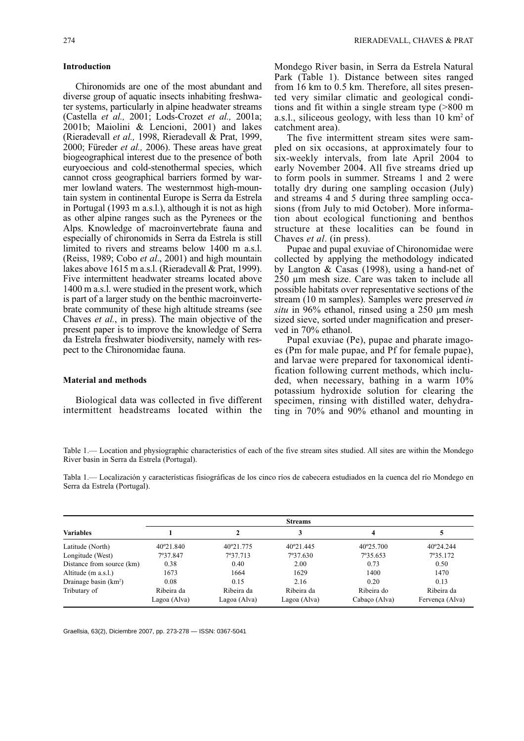#### **Introduction**

Chironomids are one of the most abundant and diverse group of aquatic insects inhabiting freshwater systems, particularly in alpine headwater streams (Castella *et al.,* 2001; Lods-Crozet *et al.,* 2001a; 2001b; Maiolini & Lencioni, 2001) and lakes (Rieradevall *et al.,* 1998, Rieradevall & Prat, 1999, 2000; Füreder *et al.,* 2006). These areas have great biogeographical interest due to the presence of both euryoecious and cold-stenothermal species, which cannot cross geographical barriers formed by warmer lowland waters. The westernmost high-mountain system in continental Europe is Serra da Estrela in Portugal (1993 m a.s.l.), although it is not as high as other alpine ranges such as the Pyrenees or the Alps. Knowledge of macroinvertebrate fauna and especially of chironomids in Serra da Estrela is still limited to rivers and streams below 1400 m a.s.l. (Reiss, 1989; Cobo *et al*., 2001) and high mountain lakes above 1615 m a.s.l. (Rieradevall & Prat, 1999). Five intermittent headwater streams located above 1400 m a.s.l. were studied in the present work, which is part of a larger study on the benthic macroinvertebrate community of these high altitude streams (see Chaves *et al.*, in press). The main objective of the present paper is to improve the knowledge of Serra da Estrela freshwater biodiversity, namely with respect to the Chironomidae fauna.

# **Material and methods**

Biological data was collected in five different intermittent headstreams located within the Mondego River basin, in Serra da Estrela Natural Park (Table 1). Distance between sites ranged from 16 km to 0.5 km. Therefore, all sites presented very similar climatic and geological conditions and fit within a single stream type (>800 m a.s.l., siliceous geology, with less than 10 km2 of catchment area).

The five intermittent stream sites were sampled on six occasions, at approximately four to six-weekly intervals, from late April 2004 to early November 2004. All five streams dried up to form pools in summer. Streams 1 and 2 were totally dry during one sampling occasion (July) and streams 4 and 5 during three sampling occasions (from July to mid October). More information about ecological functioning and benthos structure at these localities can be found in Chaves *et al*. (in press).

Pupae and pupal exuviae of Chironomidae were collected by applying the methodology indicated by Langton & Casas (1998), using a hand-net of 250 µm mesh size. Care was taken to include all possible habitats over representative sections of the stream (10 m samples). Samples were preserved *in situ* in 96% ethanol, rinsed using a 250 µm mesh sized sieve, sorted under magnification and preserved in 70% ethanol.

Pupal exuviae (Pe), pupae and pharate imagoes (Pm for male pupae, and Pf for female pupae), and larvae were prepared for taxonomical identification following current methods, which included, when necessary, bathing in a warm 10% potassium hydroxide solution for clearing the specimen, rinsing with distilled water, dehydrating in 70% and 90% ethanol and mounting in

Table 1.— Location and physiographic characteristics of each of the five stream sites studied. All sites are within the Mondego River basin in Serra da Estrela (Portugal).

Tabla 1.— Localización y características fisiográficas de los cinco ríos de cabecera estudiados en la cuenca del río Mondego en Serra da Estrela (Portugal).

|                           | <b>Streams</b> |              |              |               |                 |  |  |  |
|---------------------------|----------------|--------------|--------------|---------------|-----------------|--|--|--|
| <b>Variables</b>          |                |              |              | 4             |                 |  |  |  |
| Latitude (North)          | 40°21.840      | 40°21.775    | 40°21.445    | 40°25.700     | 40°24.244       |  |  |  |
| Longitude (West)          | 7°37.847       | 7°37.713     | 7°37.630     | 7°35.653      | 7°35.172        |  |  |  |
| Distance from source (km) | 0.38           | 0.40         | 2.00         | 0.73          | 0.50            |  |  |  |
| Altitude (m a.s.l.)       | 1673           | 1664         | 1629         | 1400          | 1470            |  |  |  |
| Drainage basin $(km^2)$   | 0.08           | 0.15         | 2.16         | 0.20          | 0.13            |  |  |  |
| Tributary of              | Ribeira da     | Ribeira da   | Ribeira da   | Ribeira do    | Ribeira da      |  |  |  |
|                           | Lagoa (Alva)   | Lagoa (Alva) | Lagoa (Alva) | Cabaço (Alva) | Fervença (Alva) |  |  |  |

Graellsia, 63(2), Diciembre 2007, pp. 273-278 — ISSN: 0367-5041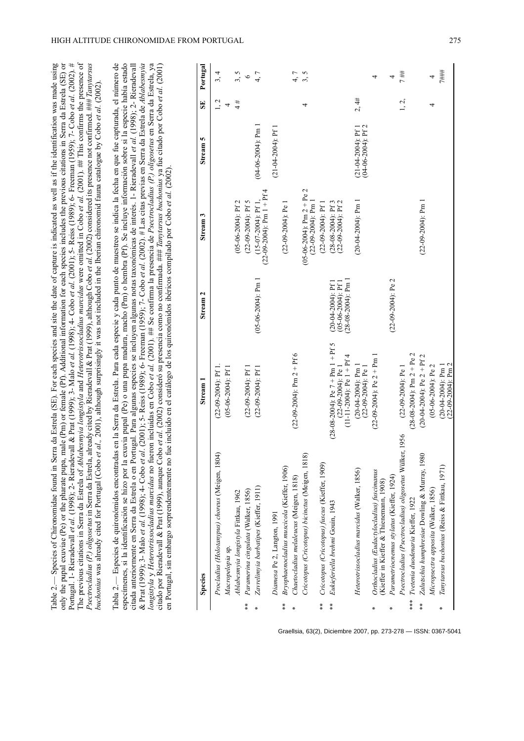|                             | Tabla 2.— Especies de quironómidos encontradas en la Serra da Estrela. Para cada especie y cada punto de muestreo se indica la fecha en que fue capturada, el número de<br>longistyla y Heterotrissocladius marcidus no fueron incluidas en Cobo et al. (2001). ## Se confirma la presencia de Psectrocladius (P.) oligosetus en Serra da Estrela, ya<br>especímenes, si la identificación se hizo por la exuvia pupal (Pe) o una pupa madura, macho (Pm) o hembra (Pf). Se incluye información sobre si la especie había estado<br>citado por Rieradevall & Prat (1999), aunque Cobo et al. (2002) consideró su presencia como no confirmada. ### Tanytarsus buchonius ya fue citado por Cobo et al. (2001)<br>citada anteriormente en Serra da Estrela o en Portugal. Para algunas especies se incluyen algunas notas taxonómicas de interés. 1- Rieradevall et al. (1998); 2- Rieradevall<br>& Prat (1999); 3-Malo et al. (1998); 4- Cobo et al. (2001); 5- Reiss (1989); 6- Freeman (1959); 7- Cobo et al. (2002). # Las citas previas en Serra da Estrela de Ablabezmyia<br>en Portugal, sin embargo sorprendentemente no fue incluido en el catálogo de los quironómidos ibéricos compilado por Cobo et al. (2002)<br>Species | Stream 1                                                                                      | Stream <sub>2</sub>                                                     | Stream <sub>3</sub>                                     | n<br><b>Stream</b>                             | SE        | Portugal |
|-----------------------------|-------------------------------------------------------------------------------------------------------------------------------------------------------------------------------------------------------------------------------------------------------------------------------------------------------------------------------------------------------------------------------------------------------------------------------------------------------------------------------------------------------------------------------------------------------------------------------------------------------------------------------------------------------------------------------------------------------------------------------------------------------------------------------------------------------------------------------------------------------------------------------------------------------------------------------------------------------------------------------------------------------------------------------------------------------------------------------------------------------------------------------------------------------------------------------------------------------------------------------------|-----------------------------------------------------------------------------------------------|-------------------------------------------------------------------------|---------------------------------------------------------|------------------------------------------------|-----------|----------|
|                             | Procladius (Holotanypus) choreus (Meigen, 1804)<br>Macropelopia sp.                                                                                                                                                                                                                                                                                                                                                                                                                                                                                                                                                                                                                                                                                                                                                                                                                                                                                                                                                                                                                                                                                                                                                                 | $(22-09-2004)$ : Pf 1<br>$(05-06-2004)$ : Pf 1                                                |                                                                         |                                                         |                                                | 1, 2<br>4 | 3, 4     |
|                             | Ablabesmyia longistyla Fittkau, 1962                                                                                                                                                                                                                                                                                                                                                                                                                                                                                                                                                                                                                                                                                                                                                                                                                                                                                                                                                                                                                                                                                                                                                                                                |                                                                                               |                                                                         | $(05-06-2004)$ : Pf 2                                   |                                                | 4#        | 3,5      |
| $\stackrel{*}{*}$           | Paramerina cingulata (Walker, 1856)                                                                                                                                                                                                                                                                                                                                                                                                                                                                                                                                                                                                                                                                                                                                                                                                                                                                                                                                                                                                                                                                                                                                                                                                 | $(22-09-2004)$ : Pf 1                                                                         |                                                                         | $(22-09-2004)$ : Pf 5                                   |                                                |           | $\circ$  |
| $\ast$                      | Zavrelimyia barbatipes (Kieffer, 1911)                                                                                                                                                                                                                                                                                                                                                                                                                                                                                                                                                                                                                                                                                                                                                                                                                                                                                                                                                                                                                                                                                                                                                                                              | $(22-09-2004)$ : Pf 1                                                                         | $(05-06-2004)$ : Pm 1                                                   | $(22-09-2004)$ : Pm $1 + Pf4$<br>$(15-07-2004)$ : Pf 1, | $(04-06-2004)$ : Pm 1                          |           | 4,7      |
|                             | Diamesa Pe 2, Langton, 1991                                                                                                                                                                                                                                                                                                                                                                                                                                                                                                                                                                                                                                                                                                                                                                                                                                                                                                                                                                                                                                                                                                                                                                                                         |                                                                                               |                                                                         |                                                         | $(21-04-2004)$ : Pf 1                          |           |          |
| $\stackrel{*}{*}$<br>$\ast$ | Bryophaenocladius muscicola (Kieffer, 1906)                                                                                                                                                                                                                                                                                                                                                                                                                                                                                                                                                                                                                                                                                                                                                                                                                                                                                                                                                                                                                                                                                                                                                                                         | $(22-09-2004)$ : Pm 2 + Pf 6                                                                  |                                                                         | $(22-09-2004)$ : Pe                                     |                                                |           |          |
|                             | Chaetocladius melaleucus (Meigen, 1818)                                                                                                                                                                                                                                                                                                                                                                                                                                                                                                                                                                                                                                                                                                                                                                                                                                                                                                                                                                                                                                                                                                                                                                                             |                                                                                               |                                                                         |                                                         |                                                |           | 4,7      |
|                             | Cricotopus (Cricotopus) bicinctus (Meigen, 1818)                                                                                                                                                                                                                                                                                                                                                                                                                                                                                                                                                                                                                                                                                                                                                                                                                                                                                                                                                                                                                                                                                                                                                                                    |                                                                                               |                                                                         | $(05-06-2004)$ : Pm 2 + Pe 2<br>$(22-09-2004)$ : Pm 1   |                                                | 4         | 3,5      |
| $\frac{*}{*}$               | Cricotopus (Cricotopus) fuscus (Kieffer, 1909)                                                                                                                                                                                                                                                                                                                                                                                                                                                                                                                                                                                                                                                                                                                                                                                                                                                                                                                                                                                                                                                                                                                                                                                      |                                                                                               |                                                                         | $(22-09-2004)$ : Pf 1                                   |                                                |           |          |
| $\frac{*}{*}$               | Eukieferiella brehmi Gouin, 1943                                                                                                                                                                                                                                                                                                                                                                                                                                                                                                                                                                                                                                                                                                                                                                                                                                                                                                                                                                                                                                                                                                                                                                                                    | $(28-08-2004)$ : Pe 7 + Pm 1 + Pf 5<br>$(11-11-2004)$ : Pe $1 + Pf4$<br>$(22-09-2004)$ : Pe 1 | $(28-08-2004)$ : Pm 1<br>$(05-06-2004)$ : Pf 1<br>$(20-04-2004)$ : Pf 1 | $(28-08-2004)$ : Pf 3<br>(22-09-2004): Pf 2             |                                                |           |          |
|                             | Heterotrissocladius marcidus (Walker, 1856)                                                                                                                                                                                                                                                                                                                                                                                                                                                                                                                                                                                                                                                                                                                                                                                                                                                                                                                                                                                                                                                                                                                                                                                         | $(20-04-2004)$ : Pm 1<br>$(22-09-2004)$ : Pe 1                                                |                                                                         | $(20-04-2004)$ : Pm 1                                   | $(21-04-2004)$ : Pf 1<br>$(04-06-2004)$ : Pf 2 | 2,4#      |          |
| ∗                           | Orthocladius (Eudactylocladius) fuscimanus<br>(Kieffer in Kieffer & Thienemam, 1908)                                                                                                                                                                                                                                                                                                                                                                                                                                                                                                                                                                                                                                                                                                                                                                                                                                                                                                                                                                                                                                                                                                                                                | $(22-09-2004)$ : Pe 2 + Pm 1                                                                  |                                                                         |                                                         |                                                |           | 4        |
| ∗                           | Parametriocnemus stylatus (Kieffer, 1924)                                                                                                                                                                                                                                                                                                                                                                                                                                                                                                                                                                                                                                                                                                                                                                                                                                                                                                                                                                                                                                                                                                                                                                                           |                                                                                               | $(22-09-2004)$ : Pe 2                                                   |                                                         |                                                |           | 4        |
|                             | Psectrocladius (Psectrocladius) oligosetus Wülker, 1956                                                                                                                                                                                                                                                                                                                                                                                                                                                                                                                                                                                                                                                                                                                                                                                                                                                                                                                                                                                                                                                                                                                                                                             | $(22-09-2004)$ : Pe 1                                                                         |                                                                         |                                                         |                                                | 1, 2,     | 7##      |
| $***$                       | Tvetenia duodenaria Kieffer, 1922                                                                                                                                                                                                                                                                                                                                                                                                                                                                                                                                                                                                                                                                                                                                                                                                                                                                                                                                                                                                                                                                                                                                                                                                   | $(28-08-2004)$ : Pm 2 + Pe 2                                                                  |                                                                         |                                                         |                                                |           |          |
| $**$                        | Zalutschia humphresiae Dowling & Murray, 1980                                                                                                                                                                                                                                                                                                                                                                                                                                                                                                                                                                                                                                                                                                                                                                                                                                                                                                                                                                                                                                                                                                                                                                                       | $(20-04-2004)$ ; Pe 2 + Pf 2                                                                  |                                                                         | $(22-09-2004)$ : Pm 1                                   |                                                |           |          |
|                             | Micropsectra apposita (Walker, 1856)                                                                                                                                                                                                                                                                                                                                                                                                                                                                                                                                                                                                                                                                                                                                                                                                                                                                                                                                                                                                                                                                                                                                                                                                | $(05-06-2004)$ : Pe 2                                                                         |                                                                         |                                                         |                                                | 4         | 4        |
| ∗                           | Tanytarsus buchonius (Reiss & Fittkau, 1971)                                                                                                                                                                                                                                                                                                                                                                                                                                                                                                                                                                                                                                                                                                                                                                                                                                                                                                                                                                                                                                                                                                                                                                                        | $(22-09-2004)$ : Pm 2<br>$(20-04-2004)$ : Pm 1                                                |                                                                         |                                                         |                                                |           | 7###     |
|                             |                                                                                                                                                                                                                                                                                                                                                                                                                                                                                                                                                                                                                                                                                                                                                                                                                                                                                                                                                                                                                                                                                                                                                                                                                                     |                                                                                               |                                                                         |                                                         |                                                |           |          |

HIGH ALTITUDE CHIRONOMIDAE FROM PORTUGAL 275

Table 2.— Species of Chironomidae found in Serra da Estrela (SE). For each species and site the date of capture is indicated as well as if the identification was made using only the pupal exuviae (Pe) or the pharate pupa, male (Pm) or female (Pf). Additional information for each species includes the previous citations in Serra da Estrela (SE) or Portugal. 1- Rieradevall *et al.* (1998); 2- Rieradevall & Prat (1999); 3- Malo *et al.* (1998); 4- Cobo *et al*. (2001); 5- Reiss (1989); 6- Freeman (1959); 7- Cobo *et al.* (2002). *#* The previous citations in Serra da Estrela of *Ablabesmyia longistyla* and *Heterotrissocladius marcidus* were omitted in Cobo *et al.* (2001). ## This confirms the presence of

Table 2.— Species of Chironomidae found in Serra da Estrela (SE). For each species and site the deta of capture is indicated as well as if the identification was made using<br>only the pupal exuviae (Pe) or the pharate pupa,

Graellsia, 63(2), Diciembre 2007, pp. 273-278 — ISSN: 0367-5041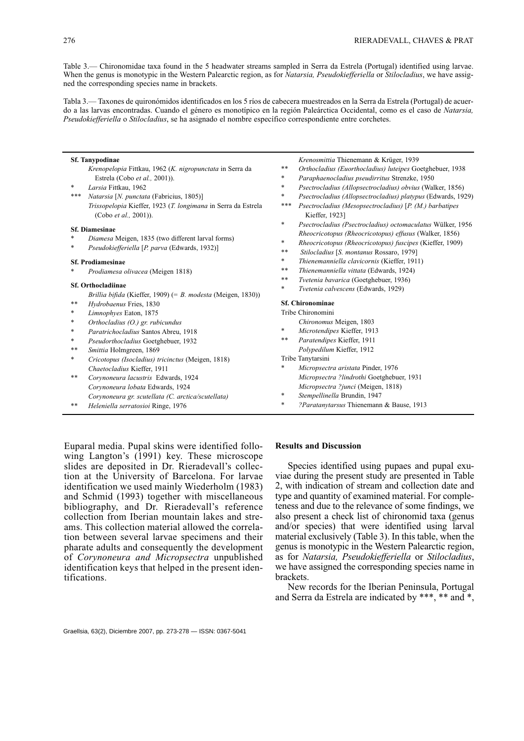Table 3.— Chironomidae taxa found in the 5 headwater streams sampled in Serra da Estrela (Portugal) identified using larvae. When the genus is monotypic in the Western Palearctic region, as for *Natarsia, Pseudokiefferiella* or *Stilocladius*, we have assigned the corresponding species name in brackets.

Tabla 3.— Taxones de quironómidos identificados en los 5 ríos de cabecera muestreados en la Serra da Estrela (Portugal) de acuerdo a las larvas encontradas. Cuando el género es monotípico en la región Paleárctica Occidental, como es el caso de *Natarsia, Pseudokiefferiella* o *Stilocladius*, se ha asignado el nombre específico correspondiente entre corchetes.

| <b>Sf. Tanypodinae</b>   |                                                                                        |        | Krenosmittia Thienemann & Krüger, 1939                                    |  |  |
|--------------------------|----------------------------------------------------------------------------------------|--------|---------------------------------------------------------------------------|--|--|
|                          | Krenopelopia Fittkau, 1962 (K. nigropunctata in Serra da                               | **     | Orthocladius (Euorthocladius) luteipes Goetghebuer, 1938                  |  |  |
|                          | Estrela (Cobo et al., 2001)).                                                          | $\ast$ | Paraphaenocladius pseudirritus Strenzke, 1950                             |  |  |
| $\ast$                   | Larsia Fittkau, 1962                                                                   | $\ast$ | Psectrocladius (Allopsectrocladius) obvius (Walker, 1856)                 |  |  |
| ***                      | Natarsia [N. punctata (Fabricius, 1805)]                                               | $\ast$ | Psectrocladius (Allopsectrocladius) platypus (Edwards, 1929)              |  |  |
|                          | Trissopelopia Kieffer, 1923 (T. longimana in Serra da Estrela<br>(Cobo et al., 2001)). | ***    | Psectrocladius (Mesopsectrocladius) [P. (M.) barbatipes<br>Kieffer, 1923] |  |  |
|                          | <b>Sf. Diamesinae</b>                                                                  | $\ast$ | Psectrocladius (Psectrocladius) octomaculatus Wülker, 1956                |  |  |
|                          | Diamesa Meigen, 1835 (two different larval forms)<br>*                                 |        | Rheocricotopus (Rheocricotopus) effusus (Walker, 1856)                    |  |  |
| $\ast$                   |                                                                                        | $\ast$ | Rheocricotopus (Rheocricotopus) fuscipes (Kieffer, 1909)                  |  |  |
|                          | Pseudokiefferiella [P. parva (Edwards, 1932)]                                          | **     | Stilocladius [S. montanus Rossaro, 1979]                                  |  |  |
| <b>Sf. Prodiamesinae</b> |                                                                                        | $\ast$ | Thienemanniella clavicornis (Kieffer, 1911)                               |  |  |
| *                        | Prodiamesa olivacea (Meigen 1818)                                                      | **     | Thienemanniella vittata (Edwards, 1924)                                   |  |  |
|                          |                                                                                        |        | Tvetenia bavarica (Goetghebuer, 1936)                                     |  |  |
|                          | <b>Sf. Orthocladiinae</b>                                                              | $\ast$ | Tvetenia calvescens (Edwards, 1929)                                       |  |  |
|                          | Brillia bifida (Kieffer, 1909) (= B. modesta (Meigen, 1830))                           |        |                                                                           |  |  |
| $***$                    | Hydrobaenus Fries, 1830                                                                |        | <b>Sf. Chironominae</b>                                                   |  |  |
| *                        | Limnophyes Eaton, 1875                                                                 |        | Tribe Chironomini                                                         |  |  |
| $\ast$                   | Orthocladius (O.) gr. rubicundus                                                       |        | Chironomus Meigen, 1803                                                   |  |  |
| $\ast$                   | Paratrichocladius Santos Abreu, 1918                                                   | $\ast$ | Microtendipes Kieffer, 1913                                               |  |  |
| $\ast$                   | Pseudorthocladius Goetghebuer, 1932                                                    | **     | Paratendipes Kieffer, 1911                                                |  |  |
| **                       | Smittia Holmgreen, 1869                                                                |        | Polypedilum Kieffer, 1912                                                 |  |  |
| $\ast$                   | Cricotopus (Isocladius) tricinctus (Meigen, 1818)                                      |        | Tribe Tanytarsini                                                         |  |  |
|                          | Chaetocladius Kieffer, 1911                                                            | *      | Micropsectra aristata Pinder, 1976                                        |  |  |
| **                       | Corynoneura lacustris Edwards, 1924                                                    |        | Micropsectra ?lindrothi Goetghebuer, 1931                                 |  |  |
|                          | Corynoneura lobata Edwards, 1924                                                       |        | Micropsectra ?junci (Meigen, 1818)                                        |  |  |
|                          | Corynoneura gr. scutellata (C. arctica/scutellata)                                     | $\ast$ | Stempellinella Brundin, 1947                                              |  |  |
| **                       | Heleniella serratosioi Ringe, 1976                                                     | $\ast$ | ?Paratanytarsus Thienemann & Bause, 1913                                  |  |  |

Euparal media. Pupal skins were identified following Langton's (1991) key. These microscope slides are deposited in Dr. Rieradevall's collection at the University of Barcelona. For larvae identification we used mainly Wiederholm (1983) and Schmid (1993) together with miscellaneous bibliography, and Dr. Rieradevall's reference collection from Iberian mountain lakes and streams. This collection material allowed the correlation between several larvae specimens and their pharate adults and consequently the development of *Corynoneura and Micropsectra* unpublished identification keys that helped in the present identifications.

#### **Results and Discussion**

Species identified using pupaes and pupal exuviae during the present study are presented in Table 2, with indication of stream and collection date and type and quantity of examined material. For completeness and due to the relevance of some findings, we also present a check list of chironomid taxa (genus and/or species) that were identified using larval material exclusively (Table 3). In this table, when the genus is monotypic in the Western Palearctic region, as for *Natarsia, Pseudokiefferiella* or *Stilocladius*, we have assigned the corresponding species name in brackets.

New records for the Iberian Peninsula, Portugal and Serra da Estrela are indicated by \*\*\*, \*\* and \*,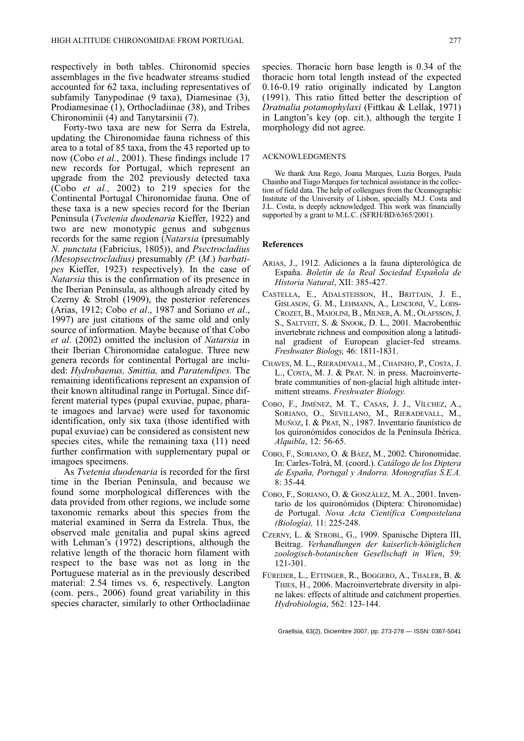respectively in both tables. Chironomid species assemblages in the five headwater streams studied accounted for 62 taxa, including representatives of subfamily Tanypodinae (9 taxa), Diamesinae (3), Prodiamesinae (1), Orthocladiinae (38), and Tribes Chironominii (4) and Tanytarsinii (7).

Forty-two taxa are new for Serra da Estrela, updating the Chironomidae fauna richness of this area to a total of 85 taxa, from the 43 reported up to now (Cobo *et al.*, 2001). These findings include 17 new records for Portugal, which represent an upgrade from the 202 previously detected taxa (Cobo *et al.,* 2002) to 219 species for the Continental Portugal Chironomidae fauna. One of these taxa is a new species record for the Iberian Peninsula (*Tvetenia duodenaria* Kieffer, 1922) and two are new monotypic genus and subgenus records for the same region (*Natarsia* (presumably *N. punctata* (Fabricius, 1805)), and *Psectrocladius (Mesopsectrocladius)* presumably *(P.* (*M*.) *barbatipes* Kieffer, 1923) respectively). In the case of *Natarsia* this is the confirmation of its presence in the Iberian Peninsula, as although already cited by Czerny & Strobl (1909), the posterior references (Arias, 1912; Cobo *et al*., 1987 and Soriano *et al*., 1997) are just citations of the same old and only source of information. Maybe because of that Cobo *et al*. (2002) omitted the inclusion of *Natarsia* in their Iberian Chironomidae catalogue. Three new genera records for continental Portugal are included: *Hydrobaenus, Smittia,* and *Paratendipes.* The remaining identifications represent an expansion of their known altitudinal range in Portugal. Since different material types (pupal exuviae, pupae, pharate imagoes and larvae) were used for taxonomic identification, only six taxa (those identified with pupal exuviae) can be considered as consistent new species cites, while the remaining taxa (11) need further confirmation with supplementary pupal or imagoes specimens.

As *Tvetenia duodenaria* is recorded for the first time in the Iberian Peninsula, and because we found some morphological differences with the data provided from other regions, we include some taxonomic remarks about this species from the material examined in Serra da Estrela. Thus, the observed male genitalia and pupal skins agreed with Lehman's (1972) descriptions, although the relative length of the thoracic horn filament with respect to the base was not as long in the Portuguese material as in the previously described material: 2.54 times vs. 6, respectively. Langton (com. pers., 2006) found great variability in this species character, similarly to other Orthocladiinae species. Thoracic horn base length is 0.34 of the thoracic horn total length instead of the expected 0.16-0.19 ratio originally indicated by Langton (1991). This ratio fitted better the description of *Dratnalia potamophylaxi* (Fittkau & Lellak, 1971) in Langton's key (op. cit.), although the tergite I morphology did not agree.

#### ACKNOWLEDGMENTS

We thank Ana Rego, Joana Marques, Luzia Borges, Paula Chainho and Tiago Marques for technical assistance in the collection of field data. The help of colleagues from the Oceanographic Institute of the University of Lisbon, specially M.J. Costa and J.L. Costa, is deeply acknowledged. This work was financially supported by a grant to M.L.C. (SFRH/BD/6365/2001).

#### **References**

- ARIAS, J., 1912. Adiciones a la fauna dipterológica de España. *Boletín de la Real Sociedad Española de Historia Natural*, XII: 385-427.
- CASTELLA, E., ADALSTEISSON, H., BRITTAIN, J. E., GISLASON, G. M., LEHMANN, A., LENCIONI, V., LODS-CROZET, B., MAIOLINI, B., MILNER, A. M., OLAFSSON, J. S., SALTVEIT, S. & SNOOK, D. L., 2001. Macrobenthic invertebrate richness and composition along a latitudinal gradient of European glacier-fed streams. *Freshwater Biology,* 46: 1811-1831.
- CHAVES, M. L., RIERADEVALL, M., CHAINHO, P., COSTA, J. L., COSTA, M. J. & PRAT. N. in press. Macroinvertebrate communities of non-glacial high altitude intermittent streams. *Freshwater Biology.*
- COBO, F., JIMÉNEZ, M. T., CASAS, J. J., VÍLCHEZ, A., SORIANO, O., SEVILLANO, M., RIERADEVALL, M., MUÑOZ, I. & PRAT, N., 1987. Inventario faunístico de los quironómidos conocidos de la Península Ibérica. *Alquibla*, 12: 56-65.
- COBO, F., SORIANO, O. & BÁEZ, M., 2002. Chironomidae. In: Carles-Tolrà, M. (coord.). *Catálogo de los Diptera de España, Portugal y Andorra. Monografías S.E.A.* 8: 35-44*.*
- COBO, F., SORIANO, O. & GONZÁLEZ, M. A., 2001. Inventario de los quironómidos (Diptera: Chironomidae) de Portugal. *Nova Acta Científica Compostelana (Biología),* 11: 225-248.
- CZERNY, L. & STROBL, G., 1909. Spanische Diptera III, Beitrag. *Verhandlungen der kaiserlich-königlichen zoologisch-botanischen Gesellschaft in Wien*, 59: 121-301.
- FÜREDER, L., ETTINGER, R., BOGGERO, A., THALER, B. & THIES, H., 2006. Macroinvertebrate diversity in alpine lakes: effects of altitude and catchment properties. *Hydrobiologia*, 562: 123-144.

Graellsia, 63(2), Diciembre 2007, pp. 273-278 — ISSN: 0367-5041